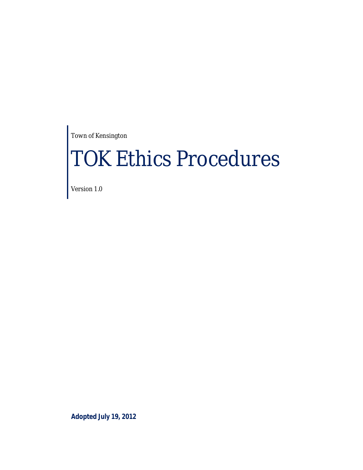Town of Kensington

# TOK Ethics Procedures

Version 1.0

**Adopted July 19, 2012**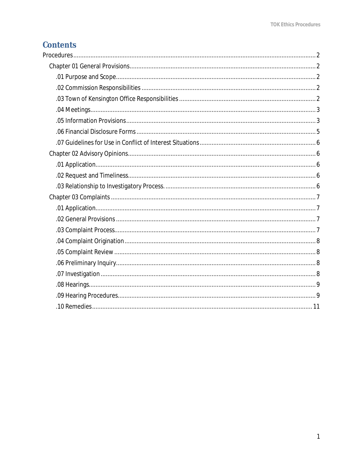# **Contents**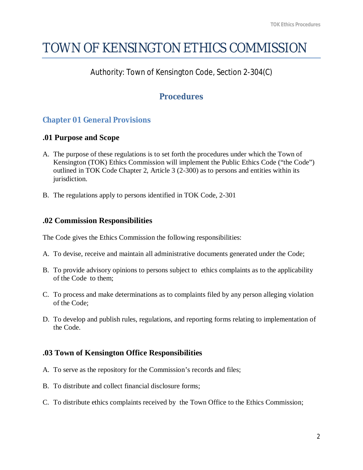# TOWN OF KENSINGTON ETHICS COMMISSION

# Authority: Town of Kensington Code, Section 2-304(C)

# **Procedures**

# **Chapter 01 General Provisions**

#### **.01 Purpose and Scope**

- A. The purpose of these regulations is to set forth the procedures under which the Town of Kensington (TOK) Ethics Commission will implement the Public Ethics Code ("the Code") outlined in TOK Code Chapter 2, Article 3 (2-300) as to persons and entities within its jurisdiction.
- B. The regulations apply to persons identified in TOK Code, 2-301

# **.02 Commission Responsibilities**

The Code gives the Ethics Commission the following responsibilities:

- A. To devise, receive and maintain all administrative documents generated under the Code;
- B. To provide advisory opinions to persons subject to ethics complaints as to the applicability of the Code to them;
- C. To process and make determinations as to complaints filed by any person alleging violation of the Code;
- D. To develop and publish rules, regulations, and reporting forms relating to implementation of the Code.

# **.03 Town of Kensington Office Responsibilities**

- A. To serve as the repository for the Commission's records and files;
- B. To distribute and collect financial disclosure forms;
- C. To distribute ethics complaints received by the Town Office to the Ethics Commission;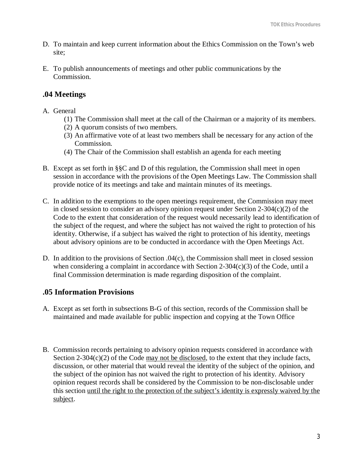- D. To maintain and keep current information about the Ethics Commission on the Town's web site;
- E. To publish announcements of meetings and other public communications by the Commission.

#### **.04 Meetings**

- A. General
	- (1) The Commission shall meet at the call of the Chairman or a majority of its members.
	- (2) A quorum consists of two members.
	- (3) An affirmative vote of at least two members shall be necessary for any action of the Commission.
	- (4) The Chair of the Commission shall establish an agenda for each meeting
- B. Except as set forth in §§C and D of this regulation, the Commission shall meet in open session in accordance with the provisions of the Open Meetings Law. The Commission shall provide notice of its meetings and take and maintain minutes of its meetings.
- C. In addition to the exemptions to the open meetings requirement, the Commission may meet in closed session to consider an advisory opinion request under Section 2-304(c)(2) of the Code to the extent that consideration of the request would necessarily lead to identification of the subject of the request, and where the subject has not waived the right to protection of his identity. Otherwise, if a subject has waived the right to protection of his identity, meetings about advisory opinions are to be conducted in accordance with the Open Meetings Act.
- D. In addition to the provisions of Section .04(c), the Commission shall meet in closed session when considering a complaint in accordance with Section 2-304 $(c)(3)$  of the Code, until a final Commission determination is made regarding disposition of the complaint.

#### **.05 Information Provisions**

- A. Except as set forth in subsections B-G of this section, records of the Commission shall be maintained and made available for public inspection and copying at the Town Office
- B. Commission records pertaining to advisory opinion requests considered in accordance with Section 2-304 $(c)(2)$  of the Code may not be disclosed, to the extent that they include facts, discussion, or other material that would reveal the identity of the subject of the opinion, and the subject of the opinion has not waived the right to protection of his identity. Advisory opinion request records shall be considered by the Commission to be non-disclosable under this section until the right to the protection of the subject's identity is expressly waived by the subject.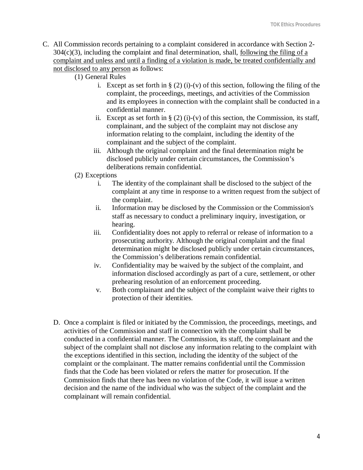- C. All Commission records pertaining to a complaint considered in accordance with Section 2-  $304(c)(3)$ , including the complaint and final determination, shall, following the filing of a complaint and unless and until a finding of a violation is made, be treated confidentially and not disclosed to any person as follows:
	- (1) General Rules
		- i. Except as set forth in  $\S(2)$  (i)-(v) of this section, following the filing of the complaint, the proceedings, meetings, and activities of the Commission and its employees in connection with the complaint shall be conducted in a confidential manner.
		- ii. Except as set forth in  $\S(2)$  (i)-(v) of this section, the Commission, its staff, complainant, and the subject of the complaint may not disclose any information relating to the complaint, including the identity of the complainant and the subject of the complaint.
		- iii. Although the original complaint and the final determination might be disclosed publicly under certain circumstances, the Commission's deliberations remain confidential.
	- (2) Exceptions
		- i. The identity of the complainant shall be disclosed to the subject of the complaint at any time in response to a written request from the subject of the complaint.
		- ii. Information may be disclosed by the Commission or the Commission's staff as necessary to conduct a preliminary inquiry, investigation, or hearing.
		- iii. Confidentiality does not apply to referral or release of information to a prosecuting authority. Although the original complaint and the final determination might be disclosed publicly under certain circumstances, the Commission's deliberations remain confidential.
		- iv. Confidentiality may be waived by the subject of the complaint, and information disclosed accordingly as part of a cure, settlement, or other prehearing resolution of an enforcement proceeding.
		- v. Both complainant and the subject of the complaint waive their rights to protection of their identities.
	- D. Once a complaint is filed or initiated by the Commission, the proceedings, meetings, and activities of the Commission and staff in connection with the complaint shall be conducted in a confidential manner. The Commission, its staff, the complainant and the subject of the complaint shall not disclose any information relating to the complaint with the exceptions identified in this section, including the identity of the subject of the complaint or the complainant. The matter remains confidential until the Commission finds that the Code has been violated or refers the matter for prosecution. If the Commission finds that there has been no violation of the Code, it will issue a written decision and the name of the individual who was the subject of the complaint and the complainant will remain confidential.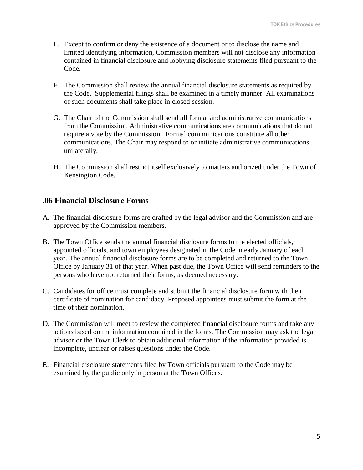- E. Except to confirm or deny the existence of a document or to disclose the name and limited identifying information, Commission members will not disclose any information contained in financial disclosure and lobbying disclosure statements filed pursuant to the Code.
- F. The Commission shall review the annual financial disclosure statements as required by the Code. Supplemental filings shall be examined in a timely manner. All examinations of such documents shall take place in closed session.
- G. The Chair of the Commission shall send all formal and administrative communications from the Commission. Administrative communications are communications that do not require a vote by the Commission. Formal communications constitute all other communications. The Chair may respond to or initiate administrative communications unilaterally.
- H. The Commission shall restrict itself exclusively to matters authorized under the Town of Kensington Code.

#### **.06 Financial Disclosure Forms**

- A. The financial disclosure forms are drafted by the legal advisor and the Commission and are approved by the Commission members.
- B. The Town Office sends the annual financial disclosure forms to the elected officials, appointed officials, and town employees designated in the Code in early January of each year. The annual financial disclosure forms are to be completed and returned to the Town Office by January 31 of that year. When past due, the Town Office will send reminders to the persons who have not returned their forms, as deemed necessary.
- C. Candidates for office must complete and submit the financial disclosure form with their certificate of nomination for candidacy. Proposed appointees must submit the form at the time of their nomination.
- D. The Commission will meet to review the completed financial disclosure forms and take any actions based on the information contained in the forms. The Commission may ask the legal advisor or the Town Clerk to obtain additional information if the information provided is incomplete, unclear or raises questions under the Code.
- E. Financial disclosure statements filed by Town officials pursuant to the Code may be examined by the public only in person at the Town Offices.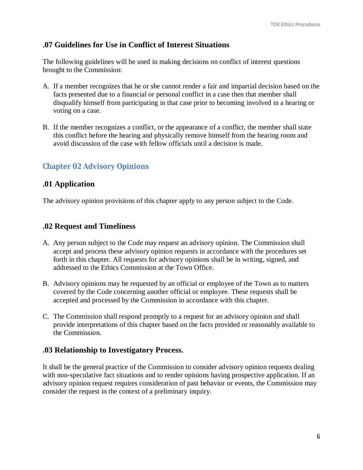#### **.07 Guidelines for Use in Conflict of Interest Situations**

The following guidelines will be used in making decisions on conflict of interest questions brought to the Commission:

- A. If a member recognizes that he or she cannot render a fair and impartial decision based on the facts presented due to a financial or personal conflict in a case then that member shall disqualify himself from participating in that case prior to becoming involved in a hearing or voting on a case.
- B. If the member recognizes a conflict, or the appearance of a conflict, the member shall state this conflict before the hearing and physically remove himself from the hearing room and avoid discussion of the case with fellow officials until a decision is made.

#### **Chapter 02 Advisory Opinions**

#### **.01 Application**

The advisory opinion provisions of this chapter apply to any person subject to the Code.

#### **.02 Request and Timeliness**

- A. Any person subject to the Code may request an advisory opinion. The Commission shall accept and process these advisory opinion requests in accordance with the procedures set forth in this chapter. All requests for advisory opinions shall be in writing, signed, and addressed to the Ethics Commission at the Town Office.
- B. Advisory opinions may be requested by an official or employee of the Town as to matters covered by the Code concerning another official or employee. These requests shall be accepted and processed by the Commission in accordance with this chapter.
- C. The Commission shall respond promptly to a request for an advisory opinion and shall provide interpretations of this chapter based on the facts provided or reasonably available to the Commission.

#### **.03 Relationship to Investigatory Process.**

It shall be the general practice of the Commission to consider advisory opinion requests dealing with non-speculative fact situations and to render opinions having prospective application. If an advisory opinion request requires consideration of past behavior or events, the Commission may consider the request in the context of a preliminary inquiry.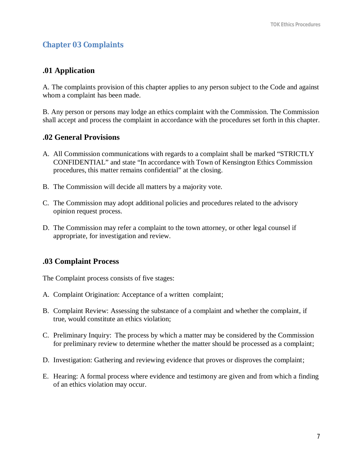# **Chapter 03 Complaints**

#### **.01 Application**

A. The complaints provision of this chapter applies to any person subject to the Code and against whom a complaint has been made.

B. Any person or persons may lodge an ethics complaint with the Commission. The Commission shall accept and process the complaint in accordance with the procedures set forth in this chapter.

#### **.02 General Provisions**

- A. All Commission communications with regards to a complaint shall be marked "STRICTLY CONFIDENTIAL" and state "In accordance with Town of Kensington Ethics Commission procedures, this matter remains confidential" at the closing.
- B. The Commission will decide all matters by a majority vote.
- C. The Commission may adopt additional policies and procedures related to the advisory opinion request process.
- D. The Commission may refer a complaint to the town attorney, or other legal counsel if appropriate, for investigation and review.

#### **.03 Complaint Process**

The Complaint process consists of five stages:

- A. Complaint Origination: Acceptance of a written complaint;
- B. Complaint Review: Assessing the substance of a complaint and whether the complaint, if true, would constitute an ethics violation;
- C. Preliminary Inquiry: The process by which a matter may be considered by the Commission for preliminary review to determine whether the matter should be processed as a complaint;
- D. Investigation: Gathering and reviewing evidence that proves or disproves the complaint;
- E. Hearing: A formal process where evidence and testimony are given and from which a finding of an ethics violation may occur.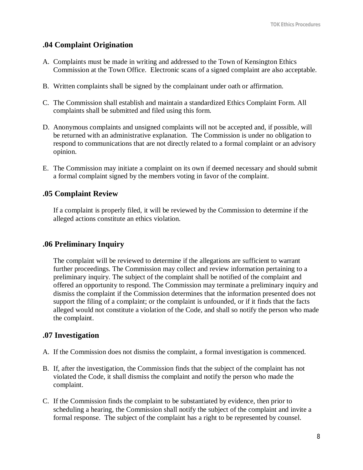#### **.04 Complaint Origination**

- A. Complaints must be made in writing and addressed to the Town of Kensington Ethics Commission at the Town Office. Electronic scans of a signed complaint are also acceptable.
- B. Written complaints shall be signed by the complainant under oath or affirmation.
- C. The Commission shall establish and maintain a standardized Ethics Complaint Form. All complaints shall be submitted and filed using this form.
- D. Anonymous complaints and unsigned complaints will not be accepted and, if possible, will be returned with an administrative explanation. The Commission is under no obligation to respond to communications that are not directly related to a formal complaint or an advisory opinion.
- E. The Commission may initiate a complaint on its own if deemed necessary and should submit a formal complaint signed by the members voting in favor of the complaint.

#### **.05 Complaint Review**

If a complaint is properly filed, it will be reviewed by the Commission to determine if the alleged actions constitute an ethics violation.

#### **.06 Preliminary Inquiry**

The complaint will be reviewed to determine if the allegations are sufficient to warrant further proceedings. The Commission may collect and review information pertaining to a preliminary inquiry. The subject of the complaint shall be notified of the complaint and offered an opportunity to respond. The Commission may terminate a preliminary inquiry and dismiss the complaint if the Commission determines that the information presented does not support the filing of a complaint; or the complaint is unfounded, or if it finds that the facts alleged would not constitute a violation of the Code, and shall so notify the person who made the complaint.

#### **.07 Investigation**

- A. If the Commission does not dismiss the complaint, a formal investigation is commenced.
- B. If, after the investigation, the Commission finds that the subject of the complaint has not violated the Code, it shall dismiss the complaint and notify the person who made the complaint.
- C. If the Commission finds the complaint to be substantiated by evidence, then prior to scheduling a hearing, the Commission shall notify the subject of the complaint and invite a formal response. The subject of the complaint has a right to be represented by counsel.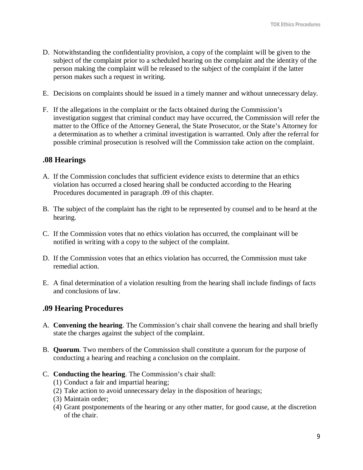- D. Notwithstanding the confidentiality provision, a copy of the complaint will be given to the subject of the complaint prior to a scheduled hearing on the complaint and the identity of the person making the complaint will be released to the subject of the complaint if the latter person makes such a request in writing.
- E. Decisions on complaints should be issued in a timely manner and without unnecessary delay.
- F. If the allegations in the complaint or the facts obtained during the Commission's investigation suggest that criminal conduct may have occurred, the Commission will refer the matter to the Office of the Attorney General, the State Prosecutor, or the State's Attorney for a determination as to whether a criminal investigation is warranted. Only after the referral for possible criminal prosecution is resolved will the Commission take action on the complaint.

#### **.08 Hearings**

- A. If the Commission concludes that sufficient evidence exists to determine that an ethics violation has occurred a closed hearing shall be conducted according to the Hearing Procedures documented in paragraph .09 of this chapter.
- B. The subject of the complaint has the right to be represented by counsel and to be heard at the hearing.
- C. If the Commission votes that no ethics violation has occurred, the complainant will be notified in writing with a copy to the subject of the complaint.
- D. If the Commission votes that an ethics violation has occurred, the Commission must take remedial action.
- E. A final determination of a violation resulting from the hearing shall include findings of facts and conclusions of law.

#### **.09 Hearing Procedures**

- A. **Convening the hearing**. The Commission's chair shall convene the hearing and shall briefly state the charges against the subject of the complaint.
- B. **Quorum**. Two members of the Commission shall constitute a quorum for the purpose of conducting a hearing and reaching a conclusion on the complaint.
- C. **Conducting the hearing**. The Commission's chair shall:
	- (1) Conduct a fair and impartial hearing;
	- (2) Take action to avoid unnecessary delay in the disposition of hearings;
	- (3) Maintain order;
	- (4) Grant postponements of the hearing or any other matter, for good cause, at the discretion of the chair.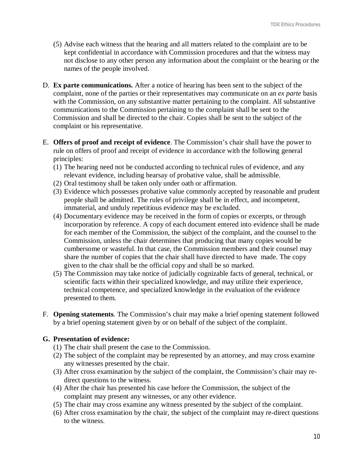- (5) Advise each witness that the hearing and all matters related to the complaint are to be kept confidential in accordance with Commission procedures and that the witness may not disclose to any other person any information about the complaint or the hearing or the names of the people involved.
- D. **Ex parte communications.** After a notice of hearing has been sent to the subject of the complaint, none of the parties or their representatives may communicate on an *ex parte* basis with the Commission, on any substantive matter pertaining to the complaint. All substantive communications to the Commission pertaining to the complaint shall be sent to the Commission and shall be directed to the chair. Copies shall be sent to the subject of the complaint or his representative.
- E. **Offers of proof and receipt of evidence**. The Commission's chair shall have the power to rule on offers of proof and receipt of evidence in accordance with the following general principles:
	- (1) The hearing need not be conducted according to technical rules of evidence, and any relevant evidence, including hearsay of probative value, shall be admissible.
	- (2) Oral testimony shall be taken only under oath or affirmation.
	- (3) Evidence which possesses probative value commonly accepted by reasonable and prudent people shall be admitted. The rules of privilege shall be in effect, and incompetent, immaterial, and unduly repetitious evidence may be excluded.
	- (4) Documentary evidence may be received in the form of copies or excerpts, or through incorporation by reference. A copy of each document entered into evidence shall be made for each member of the Commission, the subject of the complaint, and the counsel to the Commission, unless the chair determines that producing that many copies would be cumbersome or wasteful. In that case, the Commission members and their counsel may share the number of copies that the chair shall have directed to have made. The copy given to the chair shall be the official copy and shall be so marked.
	- (5) The Commission may take notice of judicially cognizable facts of general, technical, or scientific facts within their specialized knowledge, and may utilize their experience, technical competence, and specialized knowledge in the evaluation of the evidence presented to them.
- F. **Opening statements**. The Commission's chair may make a brief opening statement followed by a brief opening statement given by or on behalf of the subject of the complaint.

#### **G. Presentation of evidence:**

- (1) The chair shall present the case to the Commission.
- (2) The subject of the complaint may be represented by an attorney, and may cross examine any witnesses presented by the chair.
- (3) After cross examination by the subject of the complaint, the Commission's chair may redirect questions to the witness.
- (4) After the chair has presented his case before the Commission, the subject of the complaint may present any witnesses, or any other evidence.
- (5) The chair may cross examine any witness presented by the subject of the complaint.
- (6) After cross examination by the chair, the subject of the complaint may re-direct questions to the witness.